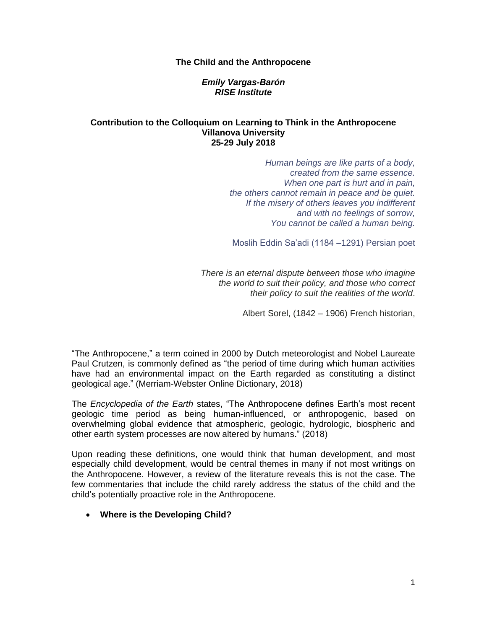#### **The Child and the Anthropocene**

#### *Emily Vargas-Barón RISE Institute*

#### **Contribution to the Colloquium on Learning to Think in the Anthropocene Villanova University 25-29 July 2018**

*Human beings are like parts of a body, created from the same essence. When one part is hurt and in pain, the others cannot remain in peace and be quiet. If the misery of others leaves you indifferent and with no feelings of sorrow, You cannot be called a human being.*

Moslih Eddin Sa'adi (1184 –1291) Persian poet

*There is an eternal dispute between those who imagine the world to suit their policy, and those who correct their policy to suit the realities of the world*.

Albert Sorel, (1842 – 1906) French historian,

"The Anthropocene," a term coined in 2000 by Dutch meteorologist and Nobel Laureate Paul Crutzen, is commonly defined as "the period of time during which human activities have had an environmental impact on the Earth regarded as constituting a distinct geological age." (Merriam-Webster Online Dictionary, 2018)

The *Encyclopedia of the Earth* states, "The Anthropocene defines Earth's most recent geologic time period as being human-influenced, or anthropogenic, based on overwhelming global evidence that atmospheric, geologic, hydrologic, biospheric and other earth system processes are now altered by humans." (2018)

Upon reading these definitions, one would think that human development, and most especially child development, would be central themes in many if not most writings on the Anthropocene. However, a review of the literature reveals this is not the case. The few commentaries that include the child rarely address the status of the child and the child's potentially proactive role in the Anthropocene.

# **Where is the Developing Child?**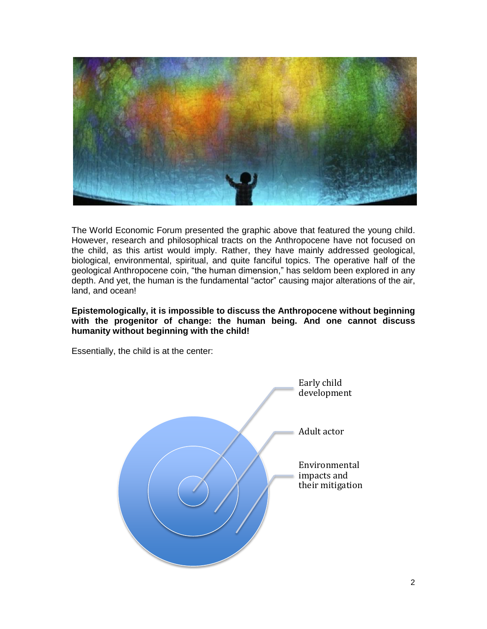

The World Economic Forum presented the graphic above that featured the young child. However, research and philosophical tracts on the Anthropocene have not focused on the child, as this artist would imply. Rather, they have mainly addressed geological, biological, environmental, spiritual, and quite fanciful topics. The operative half of the geological Anthropocene coin, "the human dimension," has seldom been explored in any depth. And yet, the human is the fundamental "actor" causing major alterations of the air, land, and ocean!

**Epistemologically, it is impossible to discuss the Anthropocene without beginning with the progenitor of change: the human being. And one cannot discuss humanity without beginning with the child!** 

Essentially, the child is at the center:

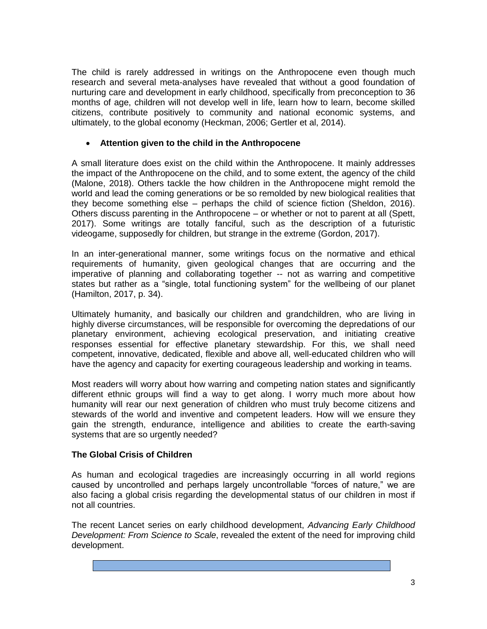The child is rarely addressed in writings on the Anthropocene even though much research and several meta-analyses have revealed that without a good foundation of nurturing care and development in early childhood, specifically from preconception to 36 months of age, children will not develop well in life, learn how to learn, become skilled citizens, contribute positively to community and national economic systems, and ultimately, to the global economy (Heckman, 2006; Gertler et al, 2014).

# **Attention given to the child in the Anthropocene**

A small literature does exist on the child within the Anthropocene. It mainly addresses the impact of the Anthropocene on the child, and to some extent, the agency of the child (Malone, 2018). Others tackle the how children in the Anthropocene might remold the world and lead the coming generations or be so remolded by new biological realities that they become something else – perhaps the child of science fiction (Sheldon, 2016). Others discuss parenting in the Anthropocene – or whether or not to parent at all (Spett, 2017). Some writings are totally fanciful, such as the description of a futuristic videogame, supposedly for children, but strange in the extreme (Gordon, 2017).

In an inter-generational manner, some writings focus on the normative and ethical requirements of humanity, given geological changes that are occurring and the imperative of planning and collaborating together -- not as warring and competitive states but rather as a "single, total functioning system" for the wellbeing of our planet (Hamilton, 2017, p. 34).

Ultimately humanity, and basically our children and grandchildren, who are living in highly diverse circumstances, will be responsible for overcoming the depredations of our planetary environment, achieving ecological preservation, and initiating creative responses essential for effective planetary stewardship. For this, we shall need competent, innovative, dedicated, flexible and above all, well-educated children who will have the agency and capacity for exerting courageous leadership and working in teams.

Most readers will worry about how warring and competing nation states and significantly different ethnic groups will find a way to get along. I worry much more about how humanity will rear our next generation of children who must truly become citizens and stewards of the world and inventive and competent leaders. How will we ensure they gain the strength, endurance, intelligence and abilities to create the earth-saving systems that are so urgently needed?

# **The Global Crisis of Children**

As human and ecological tragedies are increasingly occurring in all world regions caused by uncontrolled and perhaps largely uncontrollable "forces of nature," we are also facing a global crisis regarding the developmental status of our children in most if not all countries.

The recent Lancet series on early childhood development, *Advancing Early Childhood Development: From Science to Scale*, revealed the extent of the need for improving child development.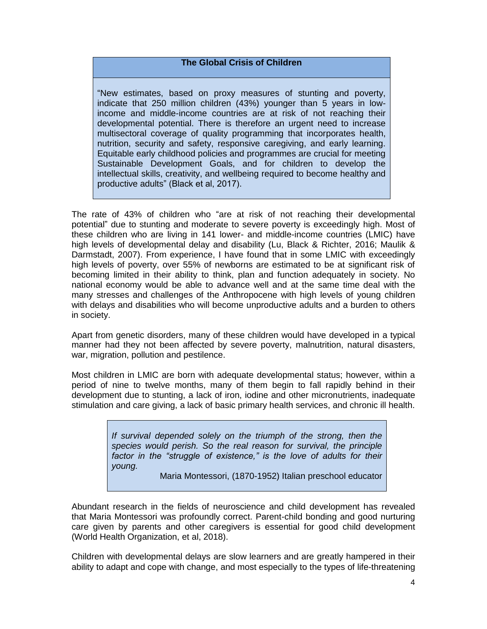# **The Global Crisis of Children**

"New estimates, based on proxy measures of stunting and poverty, indicate that 250 million children (43%) younger than 5 years in lowincome and middle-income countries are at risk of not reaching their developmental potential. There is therefore an urgent need to increase multisectoral coverage of quality programming that incorporates health, nutrition, security and safety, responsive caregiving, and early learning. Equitable early childhood policies and programmes are crucial for meeting Sustainable Development Goals, and for children to develop the intellectual skills, creativity, and wellbeing required to become healthy and productive adults" (Black et al, 2017).

The rate of 43% of children who "are at risk of not reaching their developmental potential" due to stunting and moderate to severe poverty is exceedingly high. Most of these children who are living in 141 lower- and middle-income countries (LMIC) have high levels of developmental delay and disability (Lu, Black & Richter, 2016; Maulik & Darmstadt, 2007). From experience, I have found that in some LMIC with exceedingly high levels of poverty, over 55% of newborns are estimated to be at significant risk of becoming limited in their ability to think, plan and function adequately in society. No national economy would be able to advance well and at the same time deal with the many stresses and challenges of the Anthropocene with high levels of young children with delays and disabilities who will become unproductive adults and a burden to others in society.

Apart from genetic disorders, many of these children would have developed in a typical manner had they not been affected by severe poverty, malnutrition, natural disasters, war, migration, pollution and pestilence.

Most children in LMIC are born with adequate developmental status; however, within a period of nine to twelve months, many of them begin to fall rapidly behind in their development due to stunting, a lack of iron, iodine and other micronutrients, inadequate stimulation and care giving, a lack of basic primary health services, and chronic ill health.

> *If survival depended solely on the triumph of the strong, then the species would perish. So the real reason for survival, the principle factor in the "struggle of existence," is the love of adults for their young.*

> > Maria Montessori, (1870-1952) Italian preschool educator

Abundant research in the fields of neuroscience and child development has revealed that Maria Montessori was profoundly correct. Parent-child bonding and good nurturing care given by parents and other caregivers is essential for good child development (World Health Organization, et al, 2018).

Children with developmental delays are slow learners and are greatly hampered in their ability to adapt and cope with change, and most especially to the types of life-threatening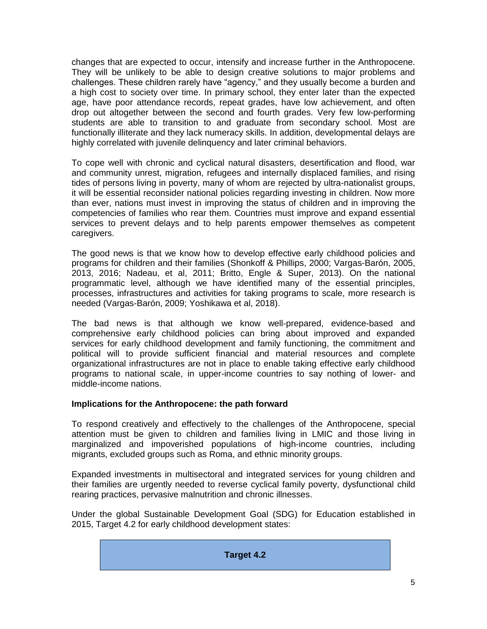changes that are expected to occur, intensify and increase further in the Anthropocene. They will be unlikely to be able to design creative solutions to major problems and challenges. These children rarely have "agency," and they usually become a burden and a high cost to society over time. In primary school, they enter later than the expected age, have poor attendance records, repeat grades, have low achievement, and often drop out altogether between the second and fourth grades. Very few low-performing students are able to transition to and graduate from secondary school. Most are functionally illiterate and they lack numeracy skills. In addition, developmental delays are highly correlated with juvenile delinquency and later criminal behaviors.

To cope well with chronic and cyclical natural disasters, desertification and flood, war and community unrest, migration, refugees and internally displaced families, and rising tides of persons living in poverty, many of whom are rejected by ultra-nationalist groups, it will be essential reconsider national policies regarding investing in children. Now more than ever, nations must invest in improving the status of children and in improving the competencies of families who rear them. Countries must improve and expand essential services to prevent delays and to help parents empower themselves as competent caregivers.

The good news is that we know how to develop effective early childhood policies and programs for children and their families (Shonkoff & Phillips, 2000; Vargas-Barón, 2005, 2013, 2016; Nadeau, et al, 2011; Britto, Engle & Super, 2013). On the national programmatic level, although we have identified many of the essential principles, processes, infrastructures and activities for taking programs to scale, more research is needed (Vargas-Barón, 2009; Yoshikawa et al, 2018).

The bad news is that although we know well-prepared, evidence-based and comprehensive early childhood policies can bring about improved and expanded services for early childhood development and family functioning, the commitment and political will to provide sufficient financial and material resources and complete organizational infrastructures are not in place to enable taking effective early childhood programs to national scale, in upper-income countries to say nothing of lower- and middle-income nations.

# **Implications for the Anthropocene: the path forward**

To respond creatively and effectively to the challenges of the Anthropocene, special attention must be given to children and families living in LMIC and those living in marginalized and impoverished populations of high-income countries, including migrants, excluded groups such as Roma, and ethnic minority groups.

Expanded investments in multisectoral and integrated services for young children and their families are urgently needed to reverse cyclical family poverty, dysfunctional child rearing practices, pervasive malnutrition and chronic illnesses.

Under the global Sustainable Development Goal (SDG) for Education established in 2015, Target 4.2 for early childhood development states:

**Target 4.2**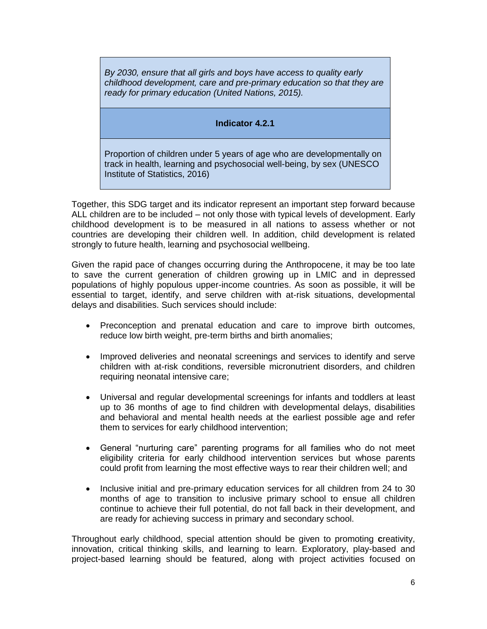*By 2030, ensure that all girls and boys have access to quality early childhood development, care and pre-primary education so that they are ready for primary education (United Nations, 2015).*

# **Indicator 4.2.1**

Proportion of children under 5 years of age who are developmentally on track in health, learning and psychosocial well-being, by sex (UNESCO Institute of Statistics, 2016)

Together, this SDG target and its indicator represent an important step forward because ALL children are to be included – not only those with typical levels of development. Early childhood development is to be measured in all nations to assess whether or not countries are developing their children well. In addition, child development is related strongly to future health, learning and psychosocial wellbeing.

Given the rapid pace of changes occurring during the Anthropocene, it may be too late to save the current generation of children growing up in LMIC and in depressed populations of highly populous upper-income countries. As soon as possible, it will be essential to target, identify, and serve children with at-risk situations, developmental delays and disabilities. Such services should include:

- Preconception and prenatal education and care to improve birth outcomes, reduce low birth weight, pre-term births and birth anomalies;
- Improved deliveries and neonatal screenings and services to identify and serve children with at-risk conditions, reversible micronutrient disorders, and children requiring neonatal intensive care;
- Universal and regular developmental screenings for infants and toddlers at least up to 36 months of age to find children with developmental delays, disabilities and behavioral and mental health needs at the earliest possible age and refer them to services for early childhood intervention;
- General "nurturing care" parenting programs for all families who do not meet eligibility criteria for early childhood intervention services but whose parents could profit from learning the most effective ways to rear their children well; and
- Inclusive initial and pre-primary education services for all children from 24 to 30 months of age to transition to inclusive primary school to ensue all children continue to achieve their full potential, do not fall back in their development, and are ready for achieving success in primary and secondary school.

Throughout early childhood, special attention should be given to promoting **c**reativity, innovation, critical thinking skills, and learning to learn. Exploratory, play-based and project-based learning should be featured, along with project activities focused on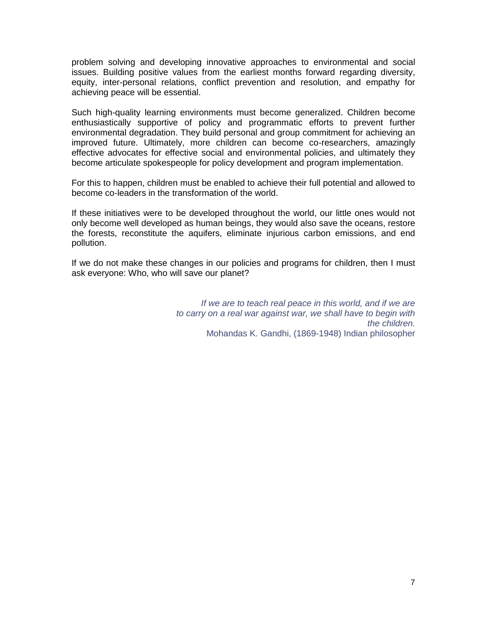problem solving and developing innovative approaches to environmental and social issues. Building positive values from the earliest months forward regarding diversity, equity, inter-personal relations, conflict prevention and resolution, and empathy for achieving peace will be essential.

Such high-quality learning environments must become generalized. Children become enthusiastically supportive of policy and programmatic efforts to prevent further environmental degradation. They build personal and group commitment for achieving an improved future. Ultimately, more children can become co-researchers, amazingly effective advocates for effective social and environmental policies, and ultimately they become articulate spokespeople for policy development and program implementation.

For this to happen, children must be enabled to achieve their full potential and allowed to become co-leaders in the transformation of the world.

If these initiatives were to be developed throughout the world, our little ones would not only become well developed as human beings, they would also save the oceans, restore the forests, reconstitute the aquifers, eliminate injurious carbon emissions, and end pollution.

If we do not make these changes in our policies and programs for children, then I must ask everyone: Who, who will save our planet?

> *If we are to teach real peace in this world, and if we are to carry on a real war against war, we shall have to begin with the children.* Mohandas K. Gandhi, (1869-1948) Indian philosopher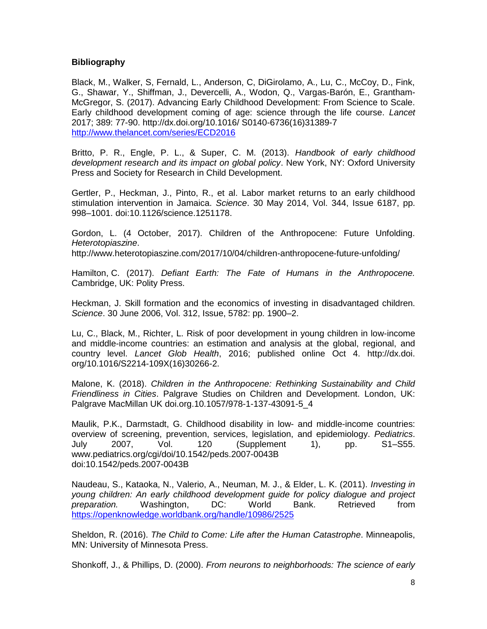# **Bibliography**

Black, M., Walker, S, Fernald, L., Anderson, C, DiGirolamo, A., Lu, C., McCoy, D., Fink, G., Shawar, Y., Shiffman, J., Devercelli, A., Wodon, Q., Vargas-Barón, E., Grantham-McGregor, S. (2017). Advancing Early Childhood Development: From Science to Scale. Early childhood development coming of age: science through the life course. *Lancet*  2017; 389: 77-90. http://dx.doi.org/10.1016/ S0140-6736(16)31389-7 <http://www.thelancet.com/series/ECD2016>

Britto, P. R., Engle, P. L., & Super, C. M. (2013). *Handbook of early childhood development research and its impact on global policy*. New York, NY: Oxford University Press and Society for Research in Child Development.

Gertler, P., Heckman, J., Pinto, R., et al. Labor market returns to an early childhood stimulation intervention in Jamaica. *Science*. 30 May 2014, Vol. 344, Issue 6187, pp. 998–1001. doi:10.1126/science.1251178.

Gordon, L. (4 October, 2017). Children of the Anthropocene: Future Unfolding. *Heterotopiaszine*.

http://www.heterotopiaszine.com/2017/10/04/children-anthropocene-future-unfolding/

Hamilton, C. (2017). *Defiant Earth: The Fate of Humans in the Anthropocene.*  Cambridge, UK: Polity Press.

Heckman, J. Skill formation and the economics of investing in disadvantaged children. *Science*. 30 June 2006, Vol. 312, Issue, 5782: pp. 1900–2.

Lu, C., Black, M., Richter, L. Risk of poor development in young children in low-income and middle-income countries: an estimation and analysis at the global, regional, and country level. *Lancet Glob Health*, 2016; published online Oct 4. http://dx.doi. org/10.1016/S2214-109X(16)30266-2.

Malone, K. (2018). *Children in the Anthropocene: Rethinking Sustainability and Child Friendliness in Cities*. Palgrave Studies on Children and Development. London, UK: Palgrave MacMillan UK doi.org.10.1057/978-1-137-43091-5\_4

Maulik, P.K., Darmstadt, G. Childhood disability in low- and middle-income countries: overview of screening, prevention, services, legislation, and epidemiology. *Pediatrics*. July 2007, Vol. 120 (Supplement 1), pp. S1–S55. www.pediatrics.org/cgi/doi/10.1542/peds.2007-0043B doi:10.1542/peds.2007-0043B

Naudeau, S., Kataoka, N., Valerio, A., Neuman, M. J., & Elder, L. K. (2011). *Investing in young children: An early childhood development guide for policy dialogue and project preparation.* Washington, DC: World Bank. Retrieved from <https://openknowledge.worldbank.org/handle/10986/2525>

Sheldon, R. (2016). *The Child to Come: Life after the Human Catastrophe*. Minneapolis, MN: University of Minnesota Press.

Shonkoff, J., & Phillips, D. (2000). *From neurons to neighborhoods: The science of early*